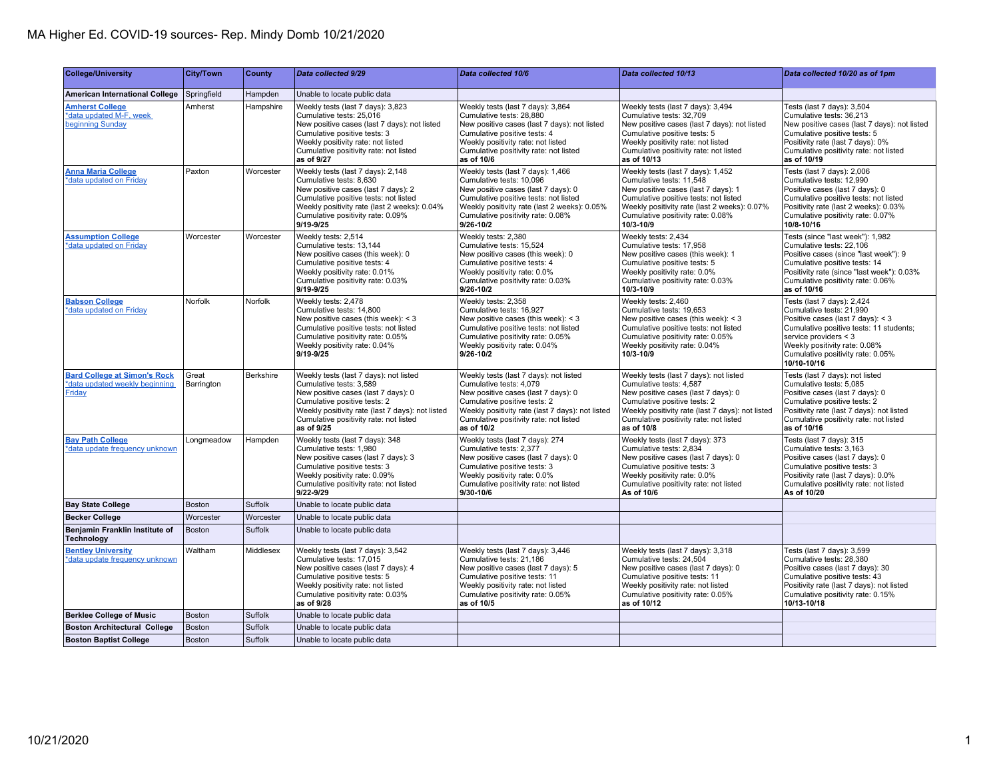| <b>College/University</b>                                                       | <b>City/Town</b>    | <b>County</b> | Data collected 9/29                                                                                                                                                                                                                                  | Data collected 10/6                                                                                                                                                                                                                                  | Data collected 10/13                                                                                                                                                                                                                                 | Data collected 10/20 as of 1pm                                                                                                                                                                                                                         |
|---------------------------------------------------------------------------------|---------------------|---------------|------------------------------------------------------------------------------------------------------------------------------------------------------------------------------------------------------------------------------------------------------|------------------------------------------------------------------------------------------------------------------------------------------------------------------------------------------------------------------------------------------------------|------------------------------------------------------------------------------------------------------------------------------------------------------------------------------------------------------------------------------------------------------|--------------------------------------------------------------------------------------------------------------------------------------------------------------------------------------------------------------------------------------------------------|
| <b>American International College</b>                                           | Springfield         | Hampden       | Unable to locate public data                                                                                                                                                                                                                         |                                                                                                                                                                                                                                                      |                                                                                                                                                                                                                                                      |                                                                                                                                                                                                                                                        |
| <b>Amherst College</b><br>*data updated M-F, week<br><b>beginning Sunday</b>    | Amherst             | Hampshire     | Weekly tests (last 7 days): 3,823<br>Cumulative tests: 25.016<br>New positive cases (last 7 days): not listed<br>Cumulative positive tests: 3<br>Weekly positivity rate: not listed<br>Cumulative positivity rate: not listed<br>as of 9/27          | Weekly tests (last 7 days): 3,864<br>Cumulative tests: 28.880<br>New positive cases (last 7 days): not listed<br>Cumulative positive tests: 4<br>Weekly positivity rate: not listed<br>Cumulative positivity rate: not listed<br>as of 10/6          | Weekly tests (last 7 days): 3,494<br>Cumulative tests: 32.709<br>New positive cases (last 7 days): not listed<br>Cumulative positive tests: 5<br>Weekly positivity rate: not listed<br>Cumulative positivity rate: not listed<br>as of 10/13         | Tests (last 7 days): 3,504<br>Cumulative tests: 36.213<br>New positive cases (last 7 days): not listed<br>Cumulative positive tests: 5<br>Positivity rate (last 7 days): 0%<br>Cumulative positivity rate: not listed<br>as of 10/19                   |
| <b>Anna Maria College</b><br>*data updated on Friday                            | Paxton              | Worcester     | Weekly tests (last 7 days): 2,148<br>Cumulative tests: 8,630<br>New positive cases (last 7 days): 2<br>Cumulative positive tests: not listed<br>Weekly positivity rate (last 2 weeks): 0.04%<br>Cumulative positivity rate: 0.09%<br>9/19-9/25       | Weekly tests (last 7 days): 1,466<br>Cumulative tests: 10,096<br>New positive cases (last 7 days): 0<br>Cumulative positive tests: not listed<br>Weekly positivity rate (last 2 weeks): 0.05%<br>Cumulative positivity rate: 0.08%<br>9/26-10/2      | Weekly tests (last 7 days): 1,452<br>Cumulative tests: 11,548<br>New positive cases (last 7 days): 1<br>Cumulative positive tests: not listed<br>Weekly positivity rate (last 2 weeks): 0.07%<br>Cumulative positivity rate: 0.08%<br>10/3-10/9      | Tests (last 7 days): 2,006<br>Cumulative tests: 12,990<br>Positive cases (last 7 days): 0<br>Cumulative positive tests: not listed<br>Positivity rate (last 2 weeks): 0.03%<br>Cumulative positivity rate: 0.07%<br>10/8-10/16                         |
| <b>Assumption College</b><br>*data updated on Friday                            | Worcester           | Worcester     | Weekly tests: 2,514<br>Cumulative tests: 13,144<br>New positive cases (this week): 0<br>Cumulative positive tests: 4<br>Weekly positivity rate: 0.01%<br>Cumulative positivity rate: 0.03%<br>9/19-9/25                                              | Weekly tests: 2,380<br>Cumulative tests: 15,524<br>New positive cases (this week): 0<br>Cumulative positive tests: 4<br>Weekly positivity rate: 0.0%<br>Cumulative positivity rate: 0.03%<br>9/26-10/2                                               | Weekly tests: 2,434<br>Cumulative tests: 17,958<br>New positive cases (this week): 1<br>Cumulative positive tests: 5<br>Weekly positivity rate: 0.0%<br>Cumulative positivity rate: 0.03%<br>10/3-10/9                                               | Tests (since "last week"): 1,982<br>Cumulative tests: 22,106<br>Positive cases (since "last week"): 9<br>Cumulative positive tests: 14<br>Positivity rate (since "last week"): 0.03%<br>Cumulative positivity rate: 0.06%<br>as of 10/16               |
| <b>Babson College</b><br>*data updated on Friday                                | Norfolk             | Norfolk       | Weekly tests: 2,478<br>Cumulative tests: 14,800<br>New positive cases (this week): $<$ 3<br>Cumulative positive tests: not listed<br>Cumulative positivity rate: 0.05%<br>Weekly positivity rate: 0.04%<br>$9/19 - 9/25$                             | Weekly tests: 2,358<br>Cumulative tests: 16,927<br>New positive cases (this week): $<$ 3<br>Cumulative positive tests: not listed<br>Cumulative positivity rate: 0.05%<br>Weekly positivity rate: 0.04%<br>$9/26 - 10/2$                             | Weekly tests: 2,460<br>Cumulative tests: 19,653<br>New positive cases (this week): $<$ 3<br>Cumulative positive tests: not listed<br>Cumulative positivity rate: 0.05%<br>Weekly positivity rate: 0.04%<br>10/3-10/9                                 | Tests (last 7 days): 2,424<br>Cumulative tests: 21,990<br>Positive cases (last 7 days): < 3<br>Cumulative positive tests: 11 students;<br>service providers $<$ 3<br>Weekly positivity rate: 0.08%<br>Cumulative positivity rate: 0.05%<br>10/10-10/16 |
| <b>Bard College at Simon's Rock</b><br>*data updated weekly beginning<br>Friday | Great<br>Barrington | Berkshire     | Weekly tests (last 7 days): not listed<br>Cumulative tests: 3,589<br>New positive cases (last 7 days): 0<br>Cumulative positive tests: 2<br>Weekly positivity rate (last 7 days): not listed<br>Cumulative positivity rate: not listed<br>as of 9/25 | Weekly tests (last 7 days): not listed<br>Cumulative tests: 4,079<br>New positive cases (last 7 days): 0<br>Cumulative positive tests: 2<br>Weekly positivity rate (last 7 days): not listed<br>Cumulative positivity rate: not listed<br>as of 10/2 | Weekly tests (last 7 days): not listed<br>Cumulative tests: 4,587<br>New positive cases (last 7 days): 0<br>Cumulative positive tests: 2<br>Weekly positivity rate (last 7 days): not listed<br>Cumulative positivity rate: not listed<br>as of 10/8 | Tests (last 7 days): not listed<br>Cumulative tests: 5,085<br>Positive cases (last 7 days): 0<br>Cumulative positive tests: 2<br>Positivity rate (last 7 days): not listed<br>Cumulative positivity rate: not listed<br>as of 10/16                    |
| <b>Bay Path College</b><br>*data update frequency unknown                       | Longmeadow          | Hampden       | Weekly tests (last 7 days): 348<br>Cumulative tests: 1,980<br>New positive cases (last 7 days): 3<br>Cumulative positive tests: 3<br>Weekly positivity rate: 0.09%<br>Cumulative positivity rate: not listed<br>9/22-9/29                            | Weekly tests (last 7 days): 274<br>Cumulative tests: 2,377<br>New positive cases (last 7 days): 0<br>Cumulative positive tests: 3<br>Weekly positivity rate: 0.0%<br>Cumulative positivity rate: not listed<br>9/30-10/6                             | Weekly tests (last 7 days): 373<br>Cumulative tests: 2,834<br>New positive cases (last 7 days): 0<br>Cumulative positive tests: 3<br>Weekly positivity rate: 0.0%<br>Cumulative positivity rate: not listed<br>As of 10/6                            | Tests (last 7 days): 315<br>Cumulative tests: 3,163<br>Positive cases (last 7 days): 0<br>Cumulative positive tests: 3<br>Positivity rate (last 7 days): 0.0%<br>Cumulative positivity rate: not listed<br>As of 10/20                                 |
| <b>Bay State College</b>                                                        | <b>Boston</b>       | Suffolk       | Unable to locate public data                                                                                                                                                                                                                         |                                                                                                                                                                                                                                                      |                                                                                                                                                                                                                                                      |                                                                                                                                                                                                                                                        |
| <b>Becker College</b>                                                           | Worcester           | Worcester     | Unable to locate public data                                                                                                                                                                                                                         |                                                                                                                                                                                                                                                      |                                                                                                                                                                                                                                                      |                                                                                                                                                                                                                                                        |
| Benjamin Franklin Institute of<br>Technology                                    | Boston              | Suffolk       | Unable to locate public data                                                                                                                                                                                                                         |                                                                                                                                                                                                                                                      |                                                                                                                                                                                                                                                      |                                                                                                                                                                                                                                                        |
| <b>Bentley University</b><br>*data update frequency unknown                     | Waltham             | Middlesex     | Weekly tests (last 7 days): 3,542<br>Cumulative tests: 17,015<br>New positive cases (last 7 days): 4<br>Cumulative positive tests: 5<br>Weekly positivity rate: not listed<br>Cumulative positivity rate: 0.03%<br>as of 9/28                        | Weekly tests (last 7 days): 3,446<br>Cumulative tests: 21,186<br>New positive cases (last 7 days): 5<br>Cumulative positive tests: 11<br>Weekly positivity rate: not listed<br>Cumulative positivity rate: 0.05%<br>as of 10/5                       | Weekly tests (last 7 days): 3,318<br>Cumulative tests: 24,504<br>New positive cases (last 7 days): 0<br>Cumulative positive tests: 11<br>Weekly positivity rate: not listed<br>Cumulative positivity rate: 0.05%<br>as of 10/12                      | Tests (last 7 days): 3,599<br>Cumulative tests: 28,380<br>Positive cases (last 7 days): 30<br>Cumulative positive tests: 43<br>Positivity rate (last 7 days): not listed<br>Cumulative positivity rate: 0.15%<br>10/13-10/18                           |
| <b>Berklee College of Music</b>                                                 | <b>Boston</b>       | Suffolk       | Unable to locate public data                                                                                                                                                                                                                         |                                                                                                                                                                                                                                                      |                                                                                                                                                                                                                                                      |                                                                                                                                                                                                                                                        |
| <b>Boston Architectural College</b>                                             | <b>Boston</b>       | Suffolk       | Unable to locate public data                                                                                                                                                                                                                         |                                                                                                                                                                                                                                                      |                                                                                                                                                                                                                                                      |                                                                                                                                                                                                                                                        |
| <b>Boston Baptist College</b>                                                   | <b>Boston</b>       | Suffolk       | Unable to locate public data                                                                                                                                                                                                                         |                                                                                                                                                                                                                                                      |                                                                                                                                                                                                                                                      |                                                                                                                                                                                                                                                        |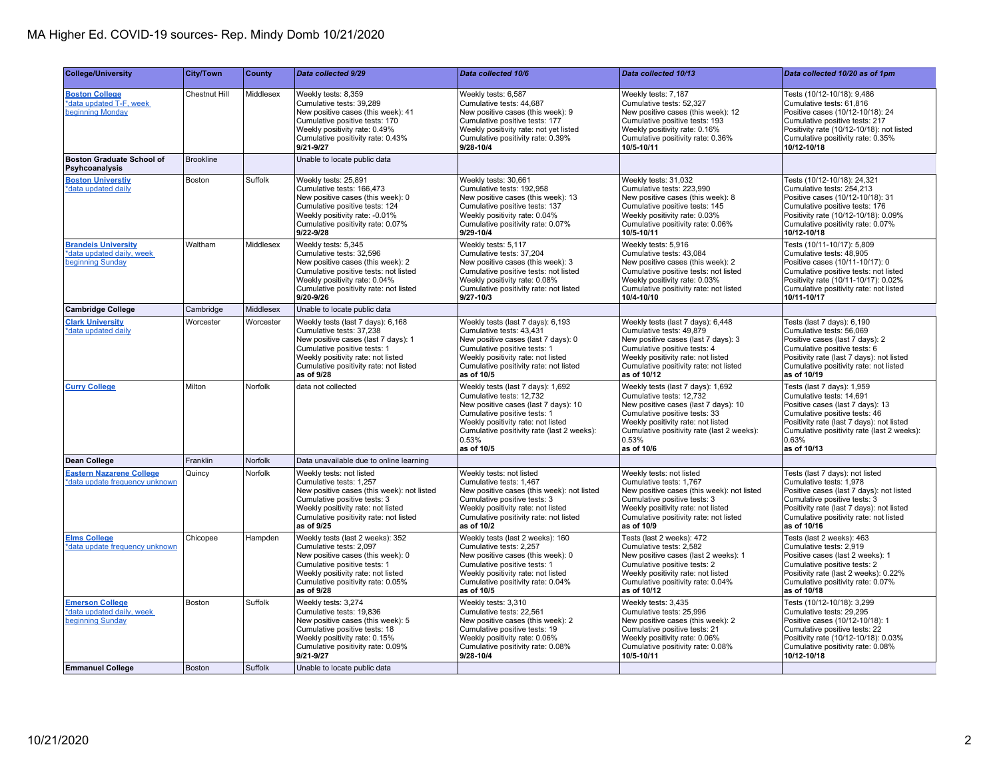| <b>College/University</b>                                                   | <b>City/Town</b>     | County    | Data collected 9/29                                                                                                                                                                                                                | Data collected 10/6                                                                                                                                                                                                                              | Data collected 10/13                                                                                                                                                                                                                              | Data collected 10/20 as of 1pm                                                                                                                                                                                                                 |
|-----------------------------------------------------------------------------|----------------------|-----------|------------------------------------------------------------------------------------------------------------------------------------------------------------------------------------------------------------------------------------|--------------------------------------------------------------------------------------------------------------------------------------------------------------------------------------------------------------------------------------------------|---------------------------------------------------------------------------------------------------------------------------------------------------------------------------------------------------------------------------------------------------|------------------------------------------------------------------------------------------------------------------------------------------------------------------------------------------------------------------------------------------------|
| <b>Boston College</b><br>*data updated T-F, week<br>beginning Monday        | <b>Chestnut Hill</b> | Middlesex | Weekly tests: 8.359<br>Cumulative tests: 39,289<br>New positive cases (this week): 41<br>Cumulative positive tests: 170<br>Weekly positivity rate: 0.49%<br>Cumulative positivity rate: 0.43%<br>9/21-9/27                         | Weekly tests: 6,587<br>Cumulative tests: 44,687<br>New positive cases (this week): 9<br>Cumulative positive tests: 177<br>Weekly positivity rate: not yet listed<br>Cumulative positivity rate: 0.39%<br>9/28-10/4                               | Weekly tests: 7,187<br>Cumulative tests: 52,327<br>New positive cases (this week): 12<br>Cumulative positive tests: 193<br>Weekly positivity rate: 0.16%<br>Cumulative positivity rate: 0.36%<br>10/5-10/11                                       | Tests (10/12-10/18): 9,486<br>Cumulative tests: 61,816<br>Positive cases (10/12-10/18): 24<br>Cumulative positive tests: 217<br>Positivity rate (10/12-10/18): not listed<br>Cumulative positivity rate: 0.35%<br>10/12-10/18                  |
| <b>Boston Graduate School of</b><br>Psyhcoanalysis                          | <b>Brookline</b>     |           | Unable to locate public data                                                                                                                                                                                                       |                                                                                                                                                                                                                                                  |                                                                                                                                                                                                                                                   |                                                                                                                                                                                                                                                |
| <b>Boston Universtiy</b><br>*data updated daily                             | Boston               | Suffolk   | Weekly tests: 25,891<br>Cumulative tests: 166,473<br>New positive cases (this week): 0<br>Cumulative positive tests: 124<br>Weekly positivity rate: -0.01%<br>Cumulative positivity rate: 0.07%<br>$9/22 - 9/28$                   | Weekly tests: 30,661<br>Cumulative tests: 192,958<br>New positive cases (this week): 13<br>Cumulative positive tests: 137<br>Weekly positivity rate: 0.04%<br>Cumulative positivity rate: 0.07%<br>9/29-10/4                                     | Weekly tests: 31,032<br>Cumulative tests: 223,990<br>New positive cases (this week): 8<br>Cumulative positive tests: 145<br>Weekly positivity rate: 0.03%<br>Cumulative positivity rate: 0.06%<br>10/5-10/11                                      | Tests (10/12-10/18): 24,321<br>Cumulative tests: 254,213<br>Positive cases (10/12-10/18): 31<br>Cumulative positive tests: 176<br>Positivity rate (10/12-10/18): 0.09%<br>Cumulative positivity rate: 0.07%<br>10/12-10/18                     |
| <b>Brandels University</b><br>*data updated daily, week<br>beginning Sunday | Waltham              | Middlesex | Weekly tests: 5,345<br>Cumulative tests: 32,596<br>New positive cases (this week): 2<br>Cumulative positive tests: not listed<br>Weekly positivity rate: 0.04%<br>Cumulative positivity rate: not listed<br>9/20-9/26              | Weekly tests: 5,117<br>Cumulative tests: 37,204<br>New positive cases (this week): 3<br>Cumulative positive tests: not listed<br>Weekly positivity rate: 0.08%<br>Cumulative positivity rate: not listed<br>$9/27 - 10/3$                        | Weekly tests: 5,916<br>Cumulative tests: 43,084<br>New positive cases (this week): 2<br>Cumulative positive tests: not listed<br>Weekly positivity rate: 0.03%<br>Cumulative positivity rate: not listed<br>10/4-10/10                            | Tests (10/11-10/17): 5,809<br>Cumulative tests: 48,905<br>Positive cases (10/11-10/17): 0<br>Cumulative positive tests: not listed<br>Positivity rate (10/11-10/17): 0.02%<br>Cumulative positivity rate: not listed<br>10/11-10/17            |
| <b>Cambridge College</b>                                                    | Cambridge            | Middlesex | Unable to locate public data                                                                                                                                                                                                       |                                                                                                                                                                                                                                                  |                                                                                                                                                                                                                                                   |                                                                                                                                                                                                                                                |
| <b>Clark University</b><br>*data updated daily                              | Worcester            | Worcester | Weekly tests (last 7 days): 6,168<br>Cumulative tests: 37,238<br>New positive cases (last 7 days): 1<br>Cumulative positive tests: 1<br>Weekly positivity rate: not listed<br>Cumulative positivity rate: not listed<br>as of 9/28 | Weekly tests (last 7 days): 6,193<br>Cumulative tests: 43,431<br>New positive cases (last 7 days): 0<br>Cumulative positive tests: 1<br>Weekly positivity rate: not listed<br>Cumulative positivity rate: not listed<br>as of 10/5               | Weekly tests (last 7 days): 6,448<br>Cumulative tests: 49,879<br>New positive cases (last 7 days): 3<br>Cumulative positive tests: 4<br>Weekly positivity rate: not listed<br>Cumulative positivity rate: not listed<br>as of 10/12               | Tests (last 7 days): 6,190<br>Cumulative tests: 56,069<br>Positive cases (last 7 days): 2<br>Cumulative positive tests: 6<br>Positivity rate (last 7 days): not listed<br>Cumulative positivity rate: not listed<br>as of 10/19                |
| <b>Curry College</b>                                                        | Milton               | Norfolk   | data not collected                                                                                                                                                                                                                 | Weekly tests (last 7 days): 1,692<br>Cumulative tests: 12,732<br>New positive cases (last 7 days): 10<br>Cumulative positive tests: 1<br>Weekly positivity rate: not listed<br>Cumulative positivity rate (last 2 weeks):<br>0.53%<br>as of 10/5 | Weekly tests (last 7 days): 1,692<br>Cumulative tests: 12,732<br>New positive cases (last 7 days): 10<br>Cumulative positive tests: 33<br>Weekly positivity rate: not listed<br>Cumulative positivity rate (last 2 weeks):<br>0.53%<br>as of 10/6 | Tests (last 7 days): 1,959<br>Cumulative tests: 14,691<br>Positive cases (last 7 days): 13<br>Cumulative positive tests: 46<br>Positivity rate (last 7 days): not listed<br>Cumulative positivity rate (last 2 weeks):<br>0.63%<br>as of 10/13 |
| Dean College                                                                | Franklin             | Norfolk   | Data unavailable due to online learning                                                                                                                                                                                            |                                                                                                                                                                                                                                                  |                                                                                                                                                                                                                                                   |                                                                                                                                                                                                                                                |
| <b>Eastern Nazarene College</b><br>*data update frequency unknown           | Quincy               | Norfolk   | Weekly tests: not listed<br>Cumulative tests: 1,257<br>New positive cases (this week): not listed<br>Cumulative positive tests: 3<br>Weekly positivity rate: not listed<br>Cumulative positivity rate: not listed<br>as of 9/25    | Weekly tests: not listed<br>Cumulative tests: 1,467<br>New positive cases (this week): not listed<br>Cumulative positive tests: 3<br>Weekly positivity rate: not listed<br>Cumulative positivity rate: not listed<br>as of 10/2                  | Weekly tests: not listed<br>Cumulative tests: 1,767<br>New positive cases (this week): not listed<br>Cumulative positive tests: 3<br>Weekly positivity rate: not listed<br>Cumulative positivity rate: not listed<br>as of 10/9                   | Tests (last 7 days): not listed<br>Cumulative tests: 1,978<br>Positive cases (last 7 days): not listed<br>Cumulative positive tests: 3<br>Positivity rate (last 7 days): not listed<br>Cumulative positivity rate: not listed<br>as of 10/16   |
| <b>Elms College</b><br>*data update frequency unknown                       | Chicopee             | Hampden   | Weekly tests (last 2 weeks): 352<br>Cumulative tests: 2,097<br>New positive cases (this week): 0<br>Cumulative positive tests: 1<br>Weekly positivity rate: not listed<br>Cumulative positivity rate: 0.05%<br>as of 9/28          | Weekly tests (last 2 weeks): 160<br>Cumulative tests: 2,257<br>New positive cases (this week): 0<br>Cumulative positive tests: 1<br>Weekly positivity rate: not listed<br>Cumulative positivity rate: 0.04%<br>as of 10/5                        | Tests (last 2 weeks): 472<br>Cumulative tests: 2,582<br>New positive cases (last 2 weeks): 1<br>Cumulative positive tests: 2<br>Weekly positivity rate: not listed<br>Cumulative positivity rate: 0.04%<br>as of 10/12                            | Tests (last 2 weeks): 463<br>Cumulative tests: 2,919<br>Positive cases (last 2 weeks): 1<br>Cumulative positive tests: 2<br>Positivity rate (last 2 weeks): 0.22%<br>Cumulative positivity rate: 0.07%<br>as of 10/18                          |
| <b>Emerson College</b><br>*data updated daily, week<br>beginning Sunday     | Boston               | Suffolk   | Weekly tests: 3,274<br>Cumulative tests: 19,836<br>New positive cases (this week): 5<br>Cumulative positive tests: 18<br>Weekly positivity rate: 0.15%<br>Cumulative positivity rate: 0.09%<br>9/21-9/27                           | Weekly tests: 3,310<br>Cumulative tests: 22,561<br>New positive cases (this week): 2<br>Cumulative positive tests: 19<br>Weekly positivity rate: 0.06%<br>Cumulative positivity rate: 0.08%<br>9/28-10/4                                         | Weekly tests: 3,435<br>Cumulative tests: 25,996<br>New positive cases (this week): 2<br>Cumulative positive tests: 21<br>Weekly positivity rate: 0.06%<br>Cumulative positivity rate: 0.08%<br>10/5-10/11                                         | Tests (10/12-10/18): 3,299<br>Cumulative tests: 29,295<br>Positive cases (10/12-10/18): 1<br>Cumulative positive tests: 22<br>Positivity rate (10/12-10/18): 0.03%<br>Cumulative positivity rate: 0.08%<br>10/12-10/18                         |
| <b>Emmanuel College</b>                                                     | Boston               | Suffolk   | Unable to locate public data                                                                                                                                                                                                       |                                                                                                                                                                                                                                                  |                                                                                                                                                                                                                                                   |                                                                                                                                                                                                                                                |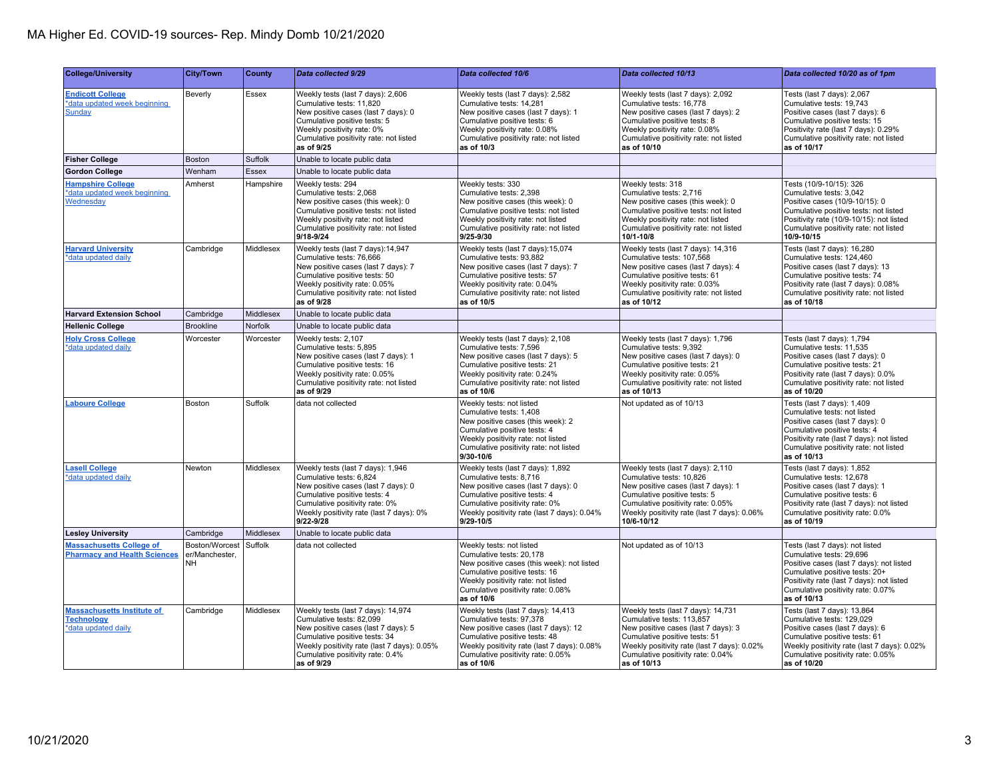| <b>College/University</b>                                                     | <b>City/Town</b>                              | County           | Data collected 9/29                                                                                                                                                                                                                     | Data collected 10/6                                                                                                                                                                                                                       | Data collected 10/13                                                                                                                                                                                                                       | Data collected 10/20 as of 1pm                                                                                                                                                                                                             |
|-------------------------------------------------------------------------------|-----------------------------------------------|------------------|-----------------------------------------------------------------------------------------------------------------------------------------------------------------------------------------------------------------------------------------|-------------------------------------------------------------------------------------------------------------------------------------------------------------------------------------------------------------------------------------------|--------------------------------------------------------------------------------------------------------------------------------------------------------------------------------------------------------------------------------------------|--------------------------------------------------------------------------------------------------------------------------------------------------------------------------------------------------------------------------------------------|
| <b>Endicott College</b><br>*data updated week beginning<br><b>Sunday</b>      | Beverly                                       | Essex            | Weekly tests (last 7 days): 2,606<br>Cumulative tests: 11,820<br>New positive cases (last 7 days): 0<br>Cumulative positive tests: 5<br>Weekly positivity rate: 0%<br>Cumulative positivity rate: not listed<br>as of 9/25              | Weekly tests (last 7 days): 2,582<br>Cumulative tests: 14,281<br>New positive cases (last 7 days): 1<br>Cumulative positive tests: 6<br>Weekly positivity rate: 0.08%<br>Cumulative positivity rate: not listed<br>as of 10/3             | Weekly tests (last 7 days): 2,092<br>Cumulative tests: 16,778<br>New positive cases (last 7 days): 2<br>Cumulative positive tests: 8<br>Weekly positivity rate: 0.08%<br>Cumulative positivity rate: not listed<br>as of 10/10             | Tests (last 7 days): 2,067<br>Cumulative tests: 19,743<br>Positive cases (last 7 days): 6<br>Cumulative positive tests: 15<br>Positivity rate (last 7 days): 0.29%<br>Cumulative positivity rate: not listed<br>as of 10/17                |
| <b>Fisher College</b>                                                         | <b>Boston</b>                                 | <b>Suffolk</b>   | Unable to locate public data                                                                                                                                                                                                            |                                                                                                                                                                                                                                           |                                                                                                                                                                                                                                            |                                                                                                                                                                                                                                            |
| <b>Gordon College</b>                                                         | Wenham                                        | <b>Essex</b>     | Unable to locate public data                                                                                                                                                                                                            |                                                                                                                                                                                                                                           |                                                                                                                                                                                                                                            |                                                                                                                                                                                                                                            |
| <b>Hampshire College</b><br>*data updated week beginning<br>Wednesday         | Amherst                                       | Hampshire        | Weekly tests: 294<br>Cumulative tests: 2,068<br>New positive cases (this week): 0<br>Cumulative positive tests: not listed<br>Weekly positivity rate: not listed<br>Cumulative positivity rate: not listed<br>9/18-9/24                 | Weekly tests: 330<br>Cumulative tests: 2,398<br>New positive cases (this week): 0<br>Cumulative positive tests: not listed<br>Weekly positivity rate: not listed<br>Cumulative positivity rate: not listed<br>9/25-9/30                   | Weekly tests: 318<br>Cumulative tests: 2,716<br>New positive cases (this week): 0<br>Cumulative positive tests: not listed<br>Weekly positivity rate: not listed<br>Cumulative positivity rate: not listed<br>10/1-10/8                    | Tests (10/9-10/15): 326<br>Cumulative tests: 3,042<br>Positive cases (10/9-10/15): 0<br>Cumulative positive tests: not listed<br>Positivity rate (10/9-10/15): not listed<br>Cumulative positivity rate: not listed<br>10/9-10/15          |
| <b>Harvard University</b><br>*data updated daily                              | Cambridge                                     | Middlesex        | Weekly tests (last 7 days):14,947<br>Cumulative tests: 76,666<br>New positive cases (last 7 days): 7<br>Cumulative positive tests: 50<br>Weekly positivity rate: 0.05%<br>Cumulative positivity rate: not listed<br>as of 9/28          | Weekly tests (last 7 days): 15,074<br>Cumulative tests: 93,882<br>New positive cases (last 7 days): 7<br>Cumulative positive tests: 57<br>Weekly positivity rate: 0.04%<br>Cumulative positivity rate: not listed<br>as of 10/5           | Weekly tests (last 7 days): 14,316<br>Cumulative tests: 107,568<br>New positive cases (last 7 days): 4<br>Cumulative positive tests: 61<br>Weekly positivity rate: 0.03%<br>Cumulative positivity rate: not listed<br>as of 10/12          | Tests (last 7 days): 16,280<br>Cumulative tests: 124,460<br>Positive cases (last 7 days): 13<br>Cumulative positive tests: 74<br>Positivity rate (last 7 days): 0.08%<br>Cumulative positivity rate: not listed<br>as of 10/18             |
| <b>Harvard Extension School</b>                                               | Cambridge                                     | Middlesex        | Unable to locate public data                                                                                                                                                                                                            |                                                                                                                                                                                                                                           |                                                                                                                                                                                                                                            |                                                                                                                                                                                                                                            |
| <b>Hellenic College</b>                                                       | <b>Brookline</b>                              | Norfolk          | Unable to locate public data                                                                                                                                                                                                            |                                                                                                                                                                                                                                           |                                                                                                                                                                                                                                            |                                                                                                                                                                                                                                            |
| <b>Holy Cross College</b><br>*data updated daily                              | Worcester                                     | Worcester        | Weekly tests: 2,107<br>Cumulative tests: 5,895<br>New positive cases (last 7 days): 1<br>Cumulative positive tests: 16<br>Weekly positivity rate: 0.05%<br>Cumulative positivity rate: not listed<br>as of 9/29                         | Weekly tests (last 7 days): 2,108<br>Cumulative tests: 7,596<br>New positive cases (last 7 days): 5<br>Cumulative positive tests: 21<br>Weekly positivity rate: 0.24%<br>Cumulative positivity rate: not listed<br>as of 10/6             | Weekly tests (last 7 days): 1,796<br>Cumulative tests: 9,392<br>New positive cases (last 7 days): 0<br>Cumulative positive tests: 21<br>Weekly positivity rate: 0.05%<br>Cumulative positivity rate: not listed<br>as of 10/13             | Tests (last 7 days): 1,794<br>Cumulative tests: 11,535<br>Positive cases (last 7 days): 0<br>Cumulative positive tests: 21<br>Positivity rate (last 7 days): 0.0%<br>Cumulative positivity rate: not listed<br>as of 10/20                 |
| <b>Laboure College</b>                                                        | Boston                                        | Suffolk          | data not collected                                                                                                                                                                                                                      | Weekly tests: not listed<br>Cumulative tests: 1,408<br>New positive cases (this week): 2<br>Cumulative positive tests: 4<br>Weekly positivity rate: not listed<br>Cumulative positivity rate: not listed<br>9/30-10/6                     | Not updated as of 10/13                                                                                                                                                                                                                    | Tests (last 7 days): 1,409<br>Cumulative tests: not listed<br>Positive cases (last 7 days): 0<br>Cumulative positive tests: 4<br>Positivity rate (last 7 days): not listed<br>Cumulative positivity rate: not listed<br>as of 10/13        |
| <b>Lasell College</b><br>*data updated daily                                  | Newton                                        | Middlesex        | Weekly tests (last 7 days): 1,946<br>Cumulative tests: 6,824<br>New positive cases (last 7 days): 0<br>Cumulative positive tests: 4<br>Cumulative positivity rate: 0%<br>Weekly positivity rate (last 7 days): 0%<br>$9/22 - 9/28$      | Weekly tests (last 7 days): 1,892<br>Cumulative tests: 8,716<br>New positive cases (last 7 days): 0<br>Cumulative positive tests: 4<br>Cumulative positivity rate: 0%<br>Weekly positivity rate (last 7 days): 0.04%<br>9/29-10/5         | Weekly tests (last 7 days): 2,110<br>Cumulative tests: 10,826<br>New positive cases (last 7 days): 1<br>Cumulative positive tests: 5<br>Cumulative positivity rate: 0.05%<br>Weekly positivity rate (last 7 days): 0.06%<br>10/6-10/12     | Tests (last 7 days): 1,852<br>Cumulative tests: 12,678<br>Positive cases (last 7 days): 1<br>Cumulative positive tests: 6<br>Positivity rate (last 7 days): not listed<br>Cumulative positivity rate: 0.0%<br>as of 10/19                  |
| <b>Lesley University</b>                                                      | Cambridge                                     | <b>Middlesex</b> | Unable to locate public data                                                                                                                                                                                                            |                                                                                                                                                                                                                                           |                                                                                                                                                                                                                                            |                                                                                                                                                                                                                                            |
| <b>Massachusetts College of</b><br><b>Pharmacy and Health Sciences</b>        | Boston/Worcest<br>er/Manchester.<br><b>NH</b> | Suffolk          | data not collected                                                                                                                                                                                                                      | Weekly tests: not listed<br>Cumulative tests: 20,178<br>New positive cases (this week): not listed<br>Cumulative positive tests: 16<br>Weekly positivity rate: not listed<br>Cumulative positivity rate: 0.08%<br>as of 10/6              | Not updated as of 10/13                                                                                                                                                                                                                    | Tests (last 7 days): not listed<br>Cumulative tests: 29,696<br>Positive cases (last 7 days): not listed<br>Cumulative positive tests: 20+<br>Positivity rate (last 7 days): not listed<br>Cumulative positivity rate: 0.07%<br>as of 10/13 |
| <b>Massachusetts Institute of</b><br><b>Technology</b><br>*data updated daily | Cambridge                                     | Middlesex        | Weekly tests (last 7 days): 14,974<br>Cumulative tests: 82.099<br>New positive cases (last 7 days): 5<br>Cumulative positive tests: 34<br>Weekly positivity rate (last 7 days): 0.05%<br>Cumulative positivity rate: 0.4%<br>as of 9/29 | Weekly tests (last 7 days): 14,413<br>Cumulative tests: 97.378<br>New positive cases (last 7 days): 12<br>Cumulative positive tests: 48<br>Weekly positivity rate (last 7 days): 0.08%<br>Cumulative positivity rate: 0.05%<br>as of 10/6 | Weekly tests (last 7 days): 14,731<br>Cumulative tests: 113.857<br>New positive cases (last 7 days): 3<br>Cumulative positive tests: 51<br>Weekly positivity rate (last 7 days): 0.02%<br>Cumulative positivity rate: 0.04%<br>as of 10/13 | Tests (last 7 days): 13,864<br>Cumulative tests: 129,029<br>Positive cases (last 7 days): 6<br>Cumulative positive tests: 61<br>Weekly positivity rate (last 7 days): 0.02%<br>Cumulative positivity rate: 0.05%<br>as of 10/20            |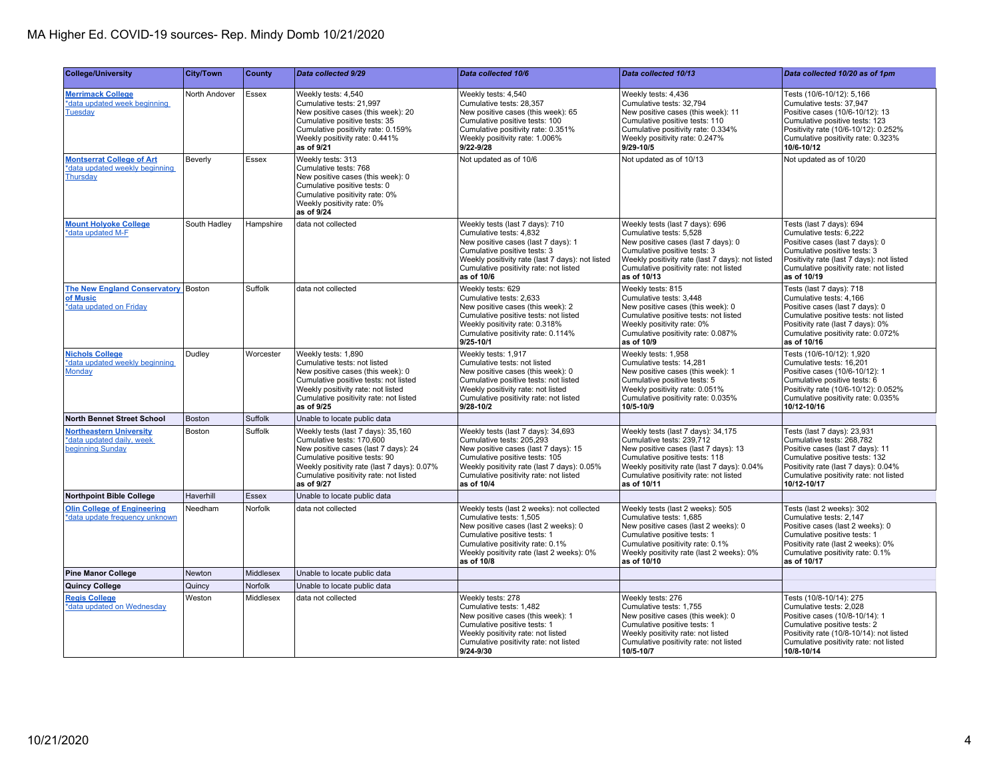| <b>College/University</b>                                                       | <b>City/Town</b> | County    | Data collected 9/29                                                                                                                                                                                                                             | Data collected 10/6                                                                                                                                                                                                                              | Data collected 10/13                                                                                                                                                                                                                              | Data collected 10/20 as of 1pm                                                                                                                                                                                                  |
|---------------------------------------------------------------------------------|------------------|-----------|-------------------------------------------------------------------------------------------------------------------------------------------------------------------------------------------------------------------------------------------------|--------------------------------------------------------------------------------------------------------------------------------------------------------------------------------------------------------------------------------------------------|---------------------------------------------------------------------------------------------------------------------------------------------------------------------------------------------------------------------------------------------------|---------------------------------------------------------------------------------------------------------------------------------------------------------------------------------------------------------------------------------|
| <b>Merrimack College</b><br>*data updated week beginning<br><b>Tuesday</b>      | North Andover    | Essex     | Weekly tests: 4,540<br>Cumulative tests: 21.997<br>New positive cases (this week): 20<br>Cumulative positive tests: 35<br>Cumulative positivity rate: 0.159%<br>Weekly positivity rate: 0.441%<br>as of 9/21                                    | Weekly tests: 4,540<br>Cumulative tests: 28.357<br>New positive cases (this week): 65<br>Cumulative positive tests: 100<br>Cumulative positivity rate: 0.351%<br>Weekly positivity rate: 1.006%<br>$9/22 - 9/28$                                 | Weekly tests: 4,436<br>Cumulative tests: 32.794<br>New positive cases (this week): 11<br>Cumulative positive tests: 110<br>Cumulative positivity rate: 0.334%<br>Weekly positivity rate: 0.247%<br>$9/29 - 10/5$                                  | Tests (10/6-10/12): 5,166<br>Cumulative tests: 37.947<br>Positive cases (10/6-10/12): 13<br>Cumulative positive tests: 123<br>Positivity rate (10/6-10/12): 0.252%<br>Cumulative positivity rate: 0.323%<br>10/6-10/12          |
| <b>Montserrat College of Art</b><br>*data updated weekly beginning<br>Thursday  | Beverly          | Essex     | Weekly tests: 313<br>Cumulative tests: 768<br>New positive cases (this week): 0<br>Cumulative positive tests: 0<br>Cumulative positivity rate: 0%<br>Weekly positivity rate: 0%<br>as of 9/24                                                   | Not updated as of 10/6                                                                                                                                                                                                                           | Not updated as of 10/13                                                                                                                                                                                                                           | Not updated as of 10/20                                                                                                                                                                                                         |
| <b>Mount Holyoke College</b><br>*data updated M-F                               | South Hadley     | Hampshire | data not collected                                                                                                                                                                                                                              | Weekly tests (last 7 days): 710<br>Cumulative tests: 4,832<br>New positive cases (last 7 days): 1<br>Cumulative positive tests: 3<br>Weekly positivity rate (last 7 days): not listed<br>Cumulative positivity rate: not listed<br>as of 10/6    | Weekly tests (last 7 days): 696<br>Cumulative tests: 5,528<br>New positive cases (last 7 days): 0<br>Cumulative positive tests: 3<br>Weekly positivity rate (last 7 days): not listed<br>Cumulative positivity rate: not listed<br>as of 10/13    | Tests (last 7 days): 694<br>Cumulative tests: 6,222<br>Positive cases (last 7 days): 0<br>Cumulative positive tests: 3<br>Positivity rate (last 7 days): not listed<br>Cumulative positivity rate: not listed<br>as of 10/19    |
| The New England Conservatory Boston<br>of Music<br>*data updated on Friday      |                  | Suffolk   | data not collected                                                                                                                                                                                                                              | Weekly tests: 629<br>Cumulative tests: 2,633<br>New positive cases (this week): 2<br>Cumulative positive tests: not listed<br>Weekly positivity rate: 0.318%<br>Cumulative positivity rate: 0.114%<br>9/25-10/1                                  | Weekly tests: 815<br>Cumulative tests: 3,448<br>New positive cases (this week): 0<br>Cumulative positive tests: not listed<br>Weekly positivity rate: 0%<br>Cumulative positivity rate: 0.087%<br>as of 10/9                                      | Tests (last 7 days): 718<br>Cumulative tests: 4,166<br>Positive cases (last 7 days): 0<br>Cumulative positive tests: not listed<br>Positivity rate (last 7 days): 0%<br>Cumulative positivity rate: 0.072%<br>as of 10/16       |
| <b>Nichols College</b><br>*data updated weekly beginning<br>Monday              | Dudley           | Worcester | Weekly tests: 1.890<br>Cumulative tests: not listed<br>New positive cases (this week): 0<br>Cumulative positive tests: not listed<br>Weekly positivity rate: not listed<br>Cumulative positivity rate: not listed<br>as of 9/25                 | Weekly tests: 1.917<br>Cumulative tests: not listed<br>New positive cases (this week): 0<br>Cumulative positive tests: not listed<br>Weekly positivity rate: not listed<br>Cumulative positivity rate: not listed<br>9/28-10/2                   | Weekly tests: 1.958<br>Cumulative tests: 14,281<br>New positive cases (this week): 1<br>Cumulative positive tests: 5<br>Weekly positivity rate: 0.051%<br>Cumulative positivity rate: 0.035%<br>10/5-10/9                                         | Tests (10/6-10/12): 1,920<br>Cumulative tests: 16,201<br>Positive cases (10/6-10/12): 1<br>Cumulative positive tests: 6<br>Positivity rate (10/6-10/12): 0.052%<br>Cumulative positivity rate: 0.035%<br>10/12-10/16            |
| <b>North Bennet Street School</b>                                               | <b>Boston</b>    | Suffolk   | Unable to locate public data                                                                                                                                                                                                                    |                                                                                                                                                                                                                                                  |                                                                                                                                                                                                                                                   |                                                                                                                                                                                                                                 |
| <b>Northeastern University</b><br>*data updated daily, week<br>beginning Sunday | Boston           | Suffolk   | Weekly tests (last 7 days): 35,160<br>Cumulative tests: 170,600<br>New positive cases (last 7 days): 24<br>Cumulative positive tests: 90<br>Weekly positivity rate (last 7 days): 0.07%<br>Cumulative positivity rate: not listed<br>as of 9/27 | Weekly tests (last 7 days): 34,693<br>Cumulative tests: 205,293<br>New positive cases (last 7 days): 15<br>Cumulative positive tests: 105<br>Weekly positivity rate (last 7 days): 0.05%<br>Cumulative positivity rate: not listed<br>as of 10/4 | Weekly tests (last 7 days): 34,175<br>Cumulative tests: 239,712<br>New positive cases (last 7 days): 13<br>Cumulative positive tests: 118<br>Weekly positivity rate (last 7 days): 0.04%<br>Cumulative positivity rate: not listed<br>as of 10/11 | Tests (last 7 days): 23,931<br>Cumulative tests: 268,782<br>Positive cases (last 7 days): 11<br>Cumulative positive tests: 132<br>Positivity rate (last 7 days): 0.04%<br>Cumulative positivity rate: not listed<br>10/12-10/17 |
| <b>Northpoint Bible College</b>                                                 | Haverhill        | Essex     | Unable to locate public data                                                                                                                                                                                                                    |                                                                                                                                                                                                                                                  |                                                                                                                                                                                                                                                   |                                                                                                                                                                                                                                 |
| <b>Olin College of Engineering</b><br>*data update frequency unknown            | Needham          | Norfolk   | data not collected                                                                                                                                                                                                                              | Weekly tests (last 2 weeks): not collected<br>Cumulative tests: 1,505<br>New positive cases (last 2 weeks): 0<br>Cumulative positive tests: 1<br>Cumulative positivity rate: 0.1%<br>Weekly positivity rate (last 2 weeks): 0%<br>as of 10/8     | Weekly tests (last 2 weeks): 505<br>Cumulative tests: 1,685<br>New positive cases (last 2 weeks): 0<br>Cumulative positive tests: 1<br>Cumulative positivity rate: 0.1%<br>Weekly positivity rate (last 2 weeks): 0%<br>as of 10/10               | Tests (last 2 weeks): 302<br>Cumulative tests: 2,147<br>Positive cases (last 2 weeks): 0<br>Cumulative positive tests: 1<br>Positivity rate (last 2 weeks): 0%<br>Cumulative positivity rate: 0.1%<br>as of 10/17               |
| <b>Pine Manor College</b>                                                       | <b>Newton</b>    | Middlesex | Unable to locate public data                                                                                                                                                                                                                    |                                                                                                                                                                                                                                                  |                                                                                                                                                                                                                                                   |                                                                                                                                                                                                                                 |
| <b>Quincy College</b>                                                           | Quincy           | Norfolk   | Unable to locate public data                                                                                                                                                                                                                    |                                                                                                                                                                                                                                                  |                                                                                                                                                                                                                                                   |                                                                                                                                                                                                                                 |
| <b>Regis College</b><br>*data updated on Wednesday                              | Weston           | Middlesex | data not collected                                                                                                                                                                                                                              | Weekly tests: 278<br>Cumulative tests: 1.482<br>New positive cases (this week): 1<br>Cumulative positive tests: 1<br>Weekly positivity rate: not listed<br>Cumulative positivity rate: not listed<br>9/24-9/30                                   | Weekly tests: 276<br>Cumulative tests: 1.755<br>New positive cases (this week): 0<br>Cumulative positive tests: 1<br>Weekly positivity rate: not listed<br>Cumulative positivity rate: not listed<br>10/5-10/7                                    | Tests (10/8-10/14): 275<br>Cumulative tests: 2.028<br>Positive cases (10/8-10/14): 1<br>Cumulative positive tests: 2<br>Positivity rate (10/8-10/14): not listed<br>Cumulative positivity rate: not listed<br>10/8-10/14        |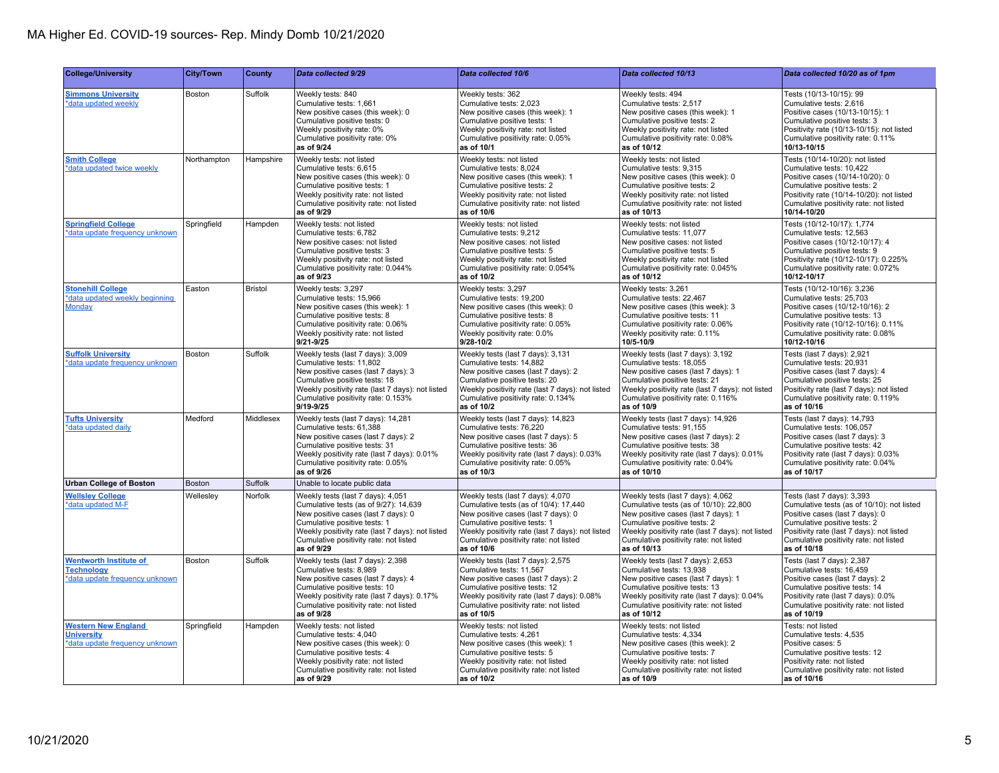| <b>College/University</b>                                                            | <b>City/Town</b> | County         | Data collected 9/29                                                                                                                                                                                                                                           | Data collected 10/6                                                                                                                                                                                                                                           | Data collected 10/13                                                                                                                                                                                                                                            | Data collected 10/20 as of 1pm                                                                                                                                                                                                                    |
|--------------------------------------------------------------------------------------|------------------|----------------|---------------------------------------------------------------------------------------------------------------------------------------------------------------------------------------------------------------------------------------------------------------|---------------------------------------------------------------------------------------------------------------------------------------------------------------------------------------------------------------------------------------------------------------|-----------------------------------------------------------------------------------------------------------------------------------------------------------------------------------------------------------------------------------------------------------------|---------------------------------------------------------------------------------------------------------------------------------------------------------------------------------------------------------------------------------------------------|
| <b>Simmons University</b><br>*data updated weekly                                    | Boston           | Suffolk        | Weekly tests: 840<br>Cumulative tests: 1,661<br>New positive cases (this week): 0<br>Cumulative positive tests: 0<br>Weekly positivity rate: 0%<br>Cumulative positivity rate: 0%<br>as of 9/24                                                               | Weekly tests: 362<br>Cumulative tests: 2.023<br>New positive cases (this week): 1<br>Cumulative positive tests: 1<br>Weekly positivity rate: not listed<br>Cumulative positivity rate: 0.05%<br>as of 10/1                                                    | Weekly tests: 494<br>Cumulative tests: 2.517<br>New positive cases (this week): 1<br>Cumulative positive tests: 2<br>Weekly positivity rate: not listed<br>Cumulative positivity rate: 0.08%<br>as of 10/12                                                     | Tests (10/13-10/15): 99<br>Cumulative tests: 2.616<br>Positive cases (10/13-10/15): 1<br>Cumulative positive tests: 3<br>Positivity rate (10/13-10/15): not listed<br>Cumulative positivity rate: 0.11%<br>10/13-10/15                            |
| <b>Smith College</b><br>*data updated twice weekly                                   | Northampton      | Hampshire      | Weekly tests: not listed<br>Cumulative tests: 6,615<br>New positive cases (this week): 0<br>Cumulative positive tests: 1<br>Weekly positivity rate: not listed<br>Cumulative positivity rate: not listed<br>as of 9/29                                        | Weekly tests: not listed<br>Cumulative tests: 8,024<br>New positive cases (this week): 1<br>Cumulative positive tests: 2<br>Weekly positivity rate: not listed<br>Cumulative positivity rate: not listed<br>as of 10/6                                        | Weekly tests: not listed<br>Cumulative tests: 9,315<br>New positive cases (this week): 0<br>Cumulative positive tests: 2<br>Weekly positivity rate: not listed<br>Cumulative positivity rate: not listed<br>as of 10/13                                         | Tests (10/14-10/20): not listed<br>Cumulative tests: 10,422<br>Positive cases (10/14-10/20): 0<br>Cumulative positive tests: 2<br>Positivity rate (10/14-10/20): not listed<br>Cumulative positivity rate: not listed<br>10/14-10/20              |
| <b>Springfield College</b><br>*data update frequency unknown                         | Springfield      | Hampden        | Weekly tests: not listed<br>Cumulative tests: 6,782<br>New positive cases: not listed<br>Cumulative positive tests: 3<br>Weekly positivity rate: not listed<br>Cumulative positivity rate: 0.044%<br>as of 9/23                                               | Weekly tests: not listed<br>Cumulative tests: 9,212<br>New positive cases: not listed<br>Cumulative positive tests: 5<br>Weekly positivity rate: not listed<br>Cumulative positivity rate: 0.054%<br>as of 10/2                                               | Weekly tests: not listed<br>Cumulative tests: 11,077<br>New positive cases: not listed<br>Cumulative positive tests: 5<br>Weekly positivity rate: not listed<br>Cumulative positivity rate: 0.045%<br>as of 10/12                                               | Tests (10/12-10/17): 1,774<br>Cumulative tests: 12,563<br>Positive cases (10/12-10/17): 4<br>Cumulative positive tests: 9<br>Positivity rate (10/12-10/17): 0.225%<br>Cumulative positivity rate: 0.072%<br>10/12-10/17                           |
| <b>Stonehill College</b><br>*data updated weekly beginning<br>Monday                 | Easton           | <b>Bristol</b> | Weekly tests: 3.297<br>Cumulative tests: 15.966<br>New positive cases (this week): 1<br>Cumulative positive tests: 8<br>Cumulative positivity rate: 0.06%<br>Weekly positivity rate: not listed<br>$9/21 - 9/25$                                              | Weekly tests: 3.297<br>Cumulative tests: 19.200<br>New positive cases (this week): 0<br>Cumulative positive tests: 8<br>Cumulative positivity rate: 0.05%<br>Weekly positivity rate: 0.0%<br>$9/28 - 10/2$                                                    | Weekly tests: 3.261<br>Cumulative tests: 22.467<br>New positive cases (this week): 3<br>Cumulative positive tests: 11<br>Cumulative positivity rate: 0.06%<br>Weekly positivity rate: 0.11%<br>10/5-10/9                                                        | Tests (10/12-10/16): 3,236<br>Cumulative tests: 25,703<br>Positive cases (10/12-10/16): 2<br>Cumulative positive tests: 13<br>Positivity rate (10/12-10/16): 0.11%<br>Cumulative positivity rate: 0.08%<br>10/12-10/16                            |
| <b>Suffolk University</b><br>*data update frequency unknown                          | Boston           | Suffolk        | Weekly tests (last 7 days): 3,009<br>Cumulative tests: 11,802<br>New positive cases (last 7 days): 3<br>Cumulative positive tests: 18<br>Weekly positivity rate (last 7 days): not listed<br>Cumulative positivity rate: 0.153%<br>$9/19 - 9/25$              | Weekly tests (last 7 days): 3,131<br>Cumulative tests: 14,882<br>New positive cases (last 7 days): 2<br>Cumulative positive tests: 20<br>Weekly positivity rate (last 7 days): not listed<br>Cumulative positivity rate: 0.134%<br>as of 10/2                 | Weekly tests (last 7 days): 3,192<br>Cumulative tests: 18,055<br>New positive cases (last 7 days): 1<br>Cumulative positive tests: 21<br>Weekly positivity rate (last 7 days): not listed<br>Cumulative positivity rate: 0.116%<br>as of 10/9                   | Tests (last 7 days): 2,921<br>Cumulative tests: 20,931<br>Positive cases (last 7 days): 4<br>Cumulative positive tests: 25<br>Positivity rate (last 7 days): not listed<br>Cumulative positivity rate: 0.119%<br>as of 10/16                      |
| <b>Tufts University</b><br>*data updated daily                                       | Medford          | Middlesex      | Weekly tests (last 7 days): 14,281<br>Cumulative tests: 61,388<br>New positive cases (last 7 days): 2<br>Cumulative positive tests: 31<br>Weekly positivity rate (last 7 days): 0.01%<br>Cumulative positivity rate: 0.05%<br>as of 9/26                      | Weekly tests (last 7 days): 14,823<br>Cumulative tests: 76,220<br>New positive cases (last 7 days): 5<br>Cumulative positive tests: 36<br>Weekly positivity rate (last 7 days): 0.03%<br>Cumulative positivity rate: 0.05%<br>as of 10/3                      | Weekly tests (last 7 days): 14,926<br>Cumulative tests: 91,155<br>New positive cases (last 7 days): 2<br>Cumulative positive tests: 38<br>Weekly positivity rate (last 7 days): 0.01%<br>Cumulative positivity rate: 0.04%<br>as of 10/10                       | Tests (last 7 days): 14,793<br>Cumulative tests: 106,057<br>Positive cases (last 7 days): 3<br>Cumulative positive tests: 42<br>Positivity rate (last 7 days): 0.03%<br>Cumulative positivity rate: 0.04%<br>as of 10/17                          |
| <b>Urban College of Boston</b>                                                       | <b>Boston</b>    | Suffolk        | Unable to locate public data                                                                                                                                                                                                                                  |                                                                                                                                                                                                                                                               |                                                                                                                                                                                                                                                                 |                                                                                                                                                                                                                                                   |
| <b>Wellsley College</b><br>*data updated M-F                                         | Welleslev        | Norfolk        | Weekly tests (last 7 days): 4,051<br>Cumulative tests (as of 9/27): 14,639<br>New positive cases (last 7 days): 0<br>Cumulative positive tests: 1<br>Weekly positivity rate (last 7 days): not listed<br>Cumulative positivity rate: not listed<br>as of 9/29 | Weekly tests (last 7 days): 4,070<br>Cumulative tests (as of 10/4): 17,440<br>New positive cases (last 7 days): 0<br>Cumulative positive tests: 1<br>Weekly positivity rate (last 7 days): not listed<br>Cumulative positivity rate: not listed<br>as of 10/6 | Weekly tests (last 7 days): 4,062<br>Cumulative tests (as of 10/10): 22,800<br>New positive cases (last 7 days): 1<br>Cumulative positive tests: 2<br>Weekly positivity rate (last 7 days): not listed<br>Cumulative positivity rate: not listed<br>as of 10/13 | Tests (last 7 days): 3,393<br>Cumulative tests (as of 10/10): not listed<br>Positive cases (last 7 days): 0<br>Cumulative positive tests: 2<br>Positivity rate (last 7 days): not listed<br>Cumulative positivity rate: not listed<br>as of 10/18 |
| <b>Wentworth Institute of</b><br><b>Technology</b><br>*data update frequency unknown | Boston           | Suffolk        | Weekly tests (last 7 days): 2,398<br>Cumulative tests: 8,989<br>New positive cases (last 7 days): 4<br>Cumulative positive tests: 10<br>Weekly positivity rate (last 7 days): 0.17%<br>Cumulative positivity rate: not listed<br>as of 9/28                   | Weekly tests (last 7 days): 2,575<br>Cumulative tests: 11,567<br>New positive cases (last 7 days): 2<br>Cumulative positive tests: 12<br>Weekly positivity rate (last 7 days): 0.08%<br>Cumulative positivity rate: not listed<br>as of 10/5                  | Weekly tests (last 7 days): 2,653<br>Cumulative tests: 13,938<br>New positive cases (last 7 days): 1<br>Cumulative positive tests: 13<br>Weekly positivity rate (last 7 days): 0.04%<br>Cumulative positivity rate: not listed<br>as of 10/12                   | Tests (last 7 days): 2,387<br>Cumulative tests: 16,459<br>Positive cases (last 7 days): 2<br>Cumulative positive tests: 14<br>Positivity rate (last 7 days): 0.0%<br>Cumulative positivity rate: not listed<br>as of 10/19                        |
| <b>Western New England</b><br><b>University</b><br>*data update frequency unknown    | Springfield      | Hampden        | Weekly tests: not listed<br>Cumulative tests: 4.040<br>New positive cases (this week): 0<br>Cumulative positive tests: 4<br>Weekly positivity rate: not listed<br>Cumulative positivity rate: not listed<br>as of 9/29                                        | Weekly tests: not listed<br>Cumulative tests: 4.261<br>New positive cases (this week): 1<br>Cumulative positive tests: 5<br>Weekly positivity rate: not listed<br>Cumulative positivity rate: not listed<br>as of 10/2                                        | Weekly tests: not listed<br>Cumulative tests: 4.334<br>New positive cases (this week): 2<br>Cumulative positive tests: 7<br>Weekly positivity rate: not listed<br>Cumulative positivity rate: not listed<br>as of 10/9                                          | Tests: not listed<br>Cumulative tests: 4.535<br>Positive cases: 5<br>Cumulative positive tests: 12<br>Positivity rate: not listed<br>Cumulative positivity rate: not listed<br>as of 10/16                                                        |